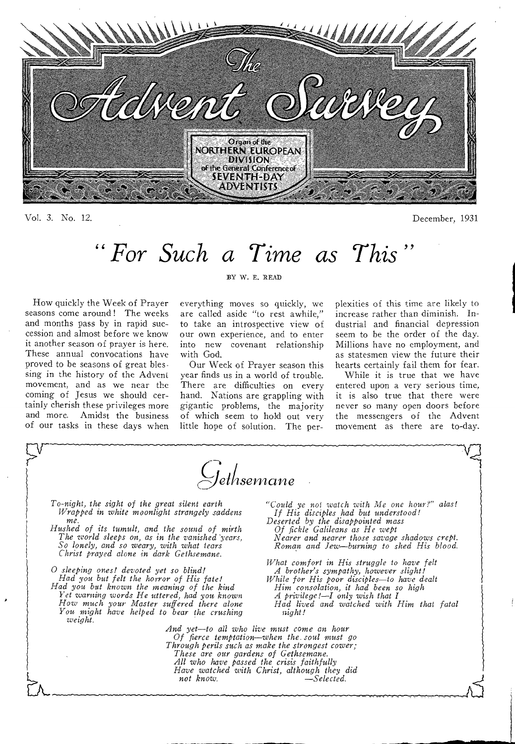

Vol. 3. No. 12. December, 1931

# *" For Such a Time as This "*

How quickly the Week of Prayer seasons come around ! The weeks and months pass by in rapid succession and almost before we know it another season of prayer is here. These annual convocations have proved to be seasons of great blessing in the history of the Advent movement, and as we near the coming of Jesus we should certainly cherish these privileges more and more. Amidst the business of our tasks in these days when

#### BY W. E. READ

everything moves so quickly, we are called aside "to rest awhile," to take an introspective view of our own experience, and to enter into new covenant relationship with God.

Our Week of Prayer season this year finds us in a world of trouble. There are difficulties on every hand. Nations are grappling with gigantic problems, the majority of which seem to hold out very little hope of solution. The perplexities of this time are likely to increase rather than diminish. Industrial and financial depression seem to be the order of the day. Millions have no employment, and as statesmen view the future their hearts certainly fail them for fear.

While it is true that we have entered upon a very serious time, it is also true that there were never so many open doors before the messengers of the Advent movement as there are to-day.

*<sup>1</sup>*c*jelnsernarte To-night, the sight of the great silent earth "Could ye not watch with Me one hour?" alas! Wrapped in white moonlight strangely saddens* me. *me. Deserted by the disappointed mass Hushed of its tumult, and the sound of mirth Of fickle Galileans as He wept* The *world sleeps on, as in the vanished years, Nearer and nearer those savage shadows crept. The world sleeps on, as in the vanished 'years, Nearer and nearer those savage shadows crept.*  So lonely, and so weary, with what tears *Christ prayed alone in dark Gethsemane. What comfort in His struggle to have felt 0 sleeping ones! devoted yet so blind! A brother's sympathy, however slight! While for His poor disciples—to have dealt* Him consolation, it had been so high *Had you but known the meaning of the kind Him consolation, it had been so high Yet* warning *words He uttered, had you known A privilege!—I only wish that I A privilege!—I only wish that I*<br>*Had lived and watched with Him that fatal might! How much your Master suffered there alone*<br>*You might have helped to bear the crushing weight. And yet—to all who live must come an hour Of fierce temptation—when the. soul must go Through perils such as make the strongest cower; These are our gardens of Gethsemane. All who have passed the crisis faithfully Have watched with Christ, although they did*   $\overline{\text{not}}$  know.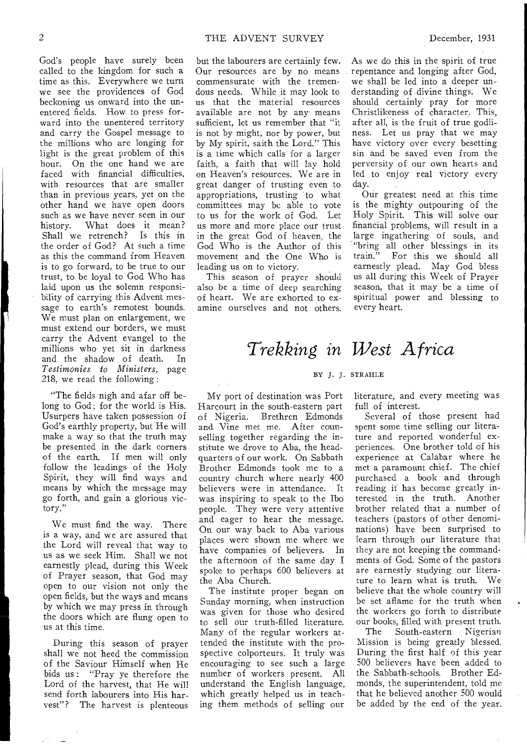God's people have surely been called to the kingdom for such a time as this. Everywhere we turn we see the providences of God beckoning us onward into the unentered fields. How to press forward into the unentered territory and carry the Gospel message to the millions who are longing for light is the great problem of this hour. On the one hand we are faced with financial difficulties, with resources that are smaller than in previous years, yet on the other hand we have open doors such as we have never seen in our history. What does it mean?<br>Shall we retrench? Is this in Shall we retrench? the order of God? At such a time as this the command from Heaven is to go forward, to be true to our trust, to be loyal to God Who has laid upon us the solemn responsibility of carrying this Advent message to earth's remotest bounds. We must plan on enlargement, we must extend our borders, we must carry the Advent evangel to the millions who yet sit in darkness<br>and the shadow of death. In and the shadow of death. *Testimonies to Ministers,* page 218, we read the following ;

"The fields nigh and afar off belong to God; for the world is His. Usurpers have taken possession of God's earthly property, but He will make a way so that the truth may be presented in the dark corners of the earth. If men will only follow the leadings of the Holy Spirit, they will find ways and means by which the message may go forth, and gain a glorious victory."

We must find the way. There is a way, and we are assured that the Lord will reveal that way to us as we seek Him. Shall we not earnestly plead, during this Week of Prayer season, that God may open to our vision not only the open fields, but the ways and means by which we may press in through the doors which are flung open to us at this time.

During this season of prayer shall we not heed the commission of the Saviour Himself when He bids us : "Pray ye therefore the Lord of the harvest, that He will send forth labourers into His harvest"? The harvest is plenteous

but the labourers are certainly few. Our resources are by no means commensurate with the tremendous needs. While it may look to us that the material resources available are not by any means sufficient, let us remember that "it is not by might, nor by power, but by My spirit, saith the Lord." This is a time which calls for a larger faith, a faith that will lay hold on Heaven's resources. We are in great danger of trusting even to appropriations, trusting to what committees may be able to vote to us for the work of God. Let us more and more place our trust in the great God of heaven, the God Who is the Author of this movement and the One Who is leading us on to victory.

This season of prayer should also be a time of deep searching of heart. We are exhorted to examine ourselves and not others.

As we do this in the spirit of true repentance and longing after God, we shall be led into a deeper understanding of divine things. We should certainly pray for more Christlikeness of character. This, after all, is the fruit of true godliness. Let us pray that we may have victory over every besetting sin and be saved even from the perversity of our own hearts and led to enjoy real victory every day.

Our greatest need at this time is the mighty outpouring of the Holy Spirit. This will solve our financial problems, will result in a large ingathering of souls, and "bring all other blessings in its train." For this we should all earnestly plead. May God bless us all during this Week of Prayer season, that it may be a time of spiritual power and blessing to every heart.

# *`Trekking in West Africa*

#### BY J. J. STRAHLE

MY port of destination was Port Harcourt in the south-eastern part of Nigeria. Brethren Edmonds and Vine met me. After counselling together regarding the institute we drove to Aba, the headquarters of our work. On Sabbath Brother Edmonds took me to a country church where nearly 400 believers were in attendance. It was inspiring to speak to the Ibo people. They were very attentive and eager to hear the message. On our way back to Aba various places were shown me where we have companies of believers. In the afternoon of the same day I spoke to perhaps 600 believers at the Aba Church.

The institute proper began on Sunday morning, when instruction was given for those who desired to sell our truth-filled literature. Many of the regular workers attended the institute with the prospective colporteurs. It truly was encouraging to see such a large number of workers present. All understand the English language, which greatly helped us in teaching them methods of selling our

literature, and every meeting was full of interest.

Several of those present had spent some time selling our literature and reported wonderful experiences. One brother told of his experience at Calabar where he met a paramount chief. The chief purchased a book and through reading it has become greatly interested in the truth. Another brother related that a number of teachers (pastors of other denominations) have been surprised to learn through our literature that they are not keeping the commandments of God. Some of the pastors are earnestly studying our literature to learn what is truth. We believe that the whole country will be set aflame for the truth when the workers go forth to distribute

our books, filled with present truth.<br>The South-eastern Nigerian South-eastern Nigerian Mission is being greatly blessed. During the first half of this year 500 believers have been added to the Sabbath-schools. Brother Edmonds, the superintendent, told me that he believed another 500 would be added by the end of the year.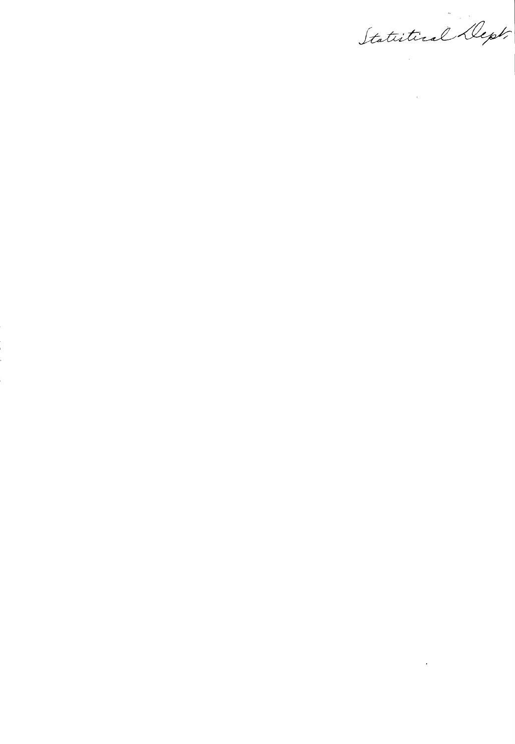Statistical Dept.

 $\alpha$  and  $\alpha$  and  $\alpha$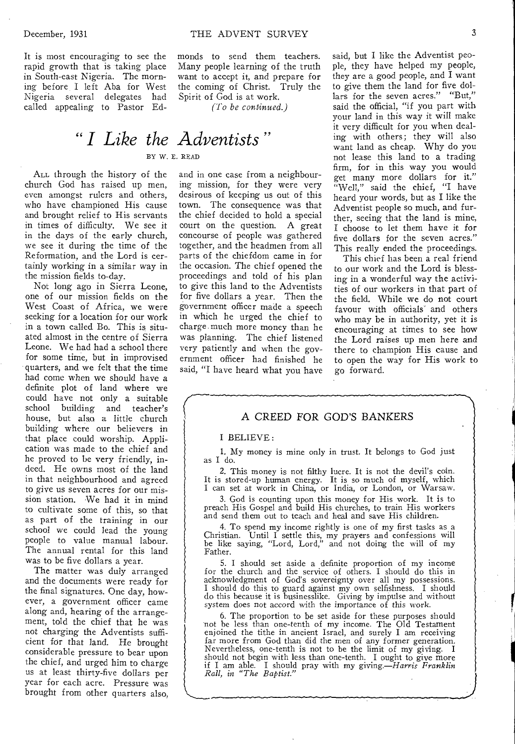It is most encouraging to see the rapid growth that is taking place in South-east Nigeria. The morning before I left Aba for West Nigeria several delegates had called appealing to Pastor Edmonds to send them teachers. Many people learning of the truth want to accept it, and prepare for the coming of Christ. Truly the Spirit of God is at work.

*(To be continued.)* 

# *" I Like the Adventists "*  BY W. E. READ

ALL through the history of the church God has raised up men, even amongst rulers and others, who have championed His cause and brought relief to His servants in times of difficulty. We see it in the days of the early church, we see it during the time of the Reformation, and the Lord is certainly working in a similar way in the mission fields to-day.

Not long ago in Sierra Leone, one of our mission fields on the West Coast of Africa, we were seeking for a location for our work in a town called Bo. This is situated almost in the centre of Sierra Leone. We had had a school there for some time, but in improvised quarters, and we felt that the time had come when we should have a definite plot of land where we could have not only a suitable school building and teacher's house, but also a little church building where our believers in that place could worship. Application was made to the chief and he proved to be very friendly, indeed. He owns most of the land in that neighbourhood and agreed to give us seven acres for our mission station. We had it in mind to cultivate some of this, so that as part of the training in our school we could lead the young people to value manual labour. The annual rental for this land was to be five dollars a year.

The matter was duly arranged and the documents were ready for the final signatures. One day, however, a government officer came along and, hearing of the arrangement, told the chief that he was not charging the Adventists sufficient for that land. He brought considerable pressure to bear upon the chief, and urged him to charge us at least thirty-five dollars per year for each acre. Pressure was brought from other quarters also,

and in one case from a neighbouring mission, for they were very desirous of keeping us out of this town. The consequence was that the chief decided to hold a special court on the question. A great concourse of people was gathered together, and the headmen from all parts of the chiefdom came in for the occasion. The chief opened the proceedings and told of his plan to give this land to the Adventists for five dollars a year. Then the government officer made a speech in which he urged the chief to charge much more money than he was planning. The chief listened very patiently and when the government officer had finished he said, "I have heard what you have said, but I like the Adventist people, they have helped my people, they are a good people, and I want to give them the land for five dollars for the seven acres." "But," said the official, "if you part with your land in this way it will make it very difficult for you when dealing with others; they will also want land as cheap. Why do you not lease this land to a trading firm, for in this way you would get many more dollars for it." "Well," said the chief, "I have heard your words, but as I like the Adventist people so much, and further, seeing that the land is mine, I choose to let them have it for five dollars for the seven acres." This really ended the proceedings.

This chief has been a real friend to our work and the Lord is blessing in a wonderful way the activities of our workers in that part of the field. While we do not court favour with officials' and others who may be in authority, yet it is encouraging at times to see how the Lord raises up men here and there to champion His cause and to open the way for His work to go forward.

### A CREED FOR GOD'S BANKERS

#### I BELIEVE :

1. My money is mine only in trust. It belongs to God just as I do.

2. This money is not filthy lucre. It is not the devil's coin. It is stored-up human energy. It is so much of myself, which I can set at work in China, or India, or London, or Warsaw.

3. God is counting upon this money for His work. It is to preach His Gospel and build His churches, to train His workers and send them out to teach and heal and save His children.

4. To spend my income rightly is one of my first tasks as a Christian. Until I settle this, my prayers and confessions will be like saying, "Lord, Lord," and not doing the will of my Father.

5. I should set aside a definite proportion of my income for the church and the service of others. I should do this in acknowledgment of God's sovereignty over all my possessions. I should do this to guard against my own selfishness. I should do this because it is businesslike. Giving by impulse and without system does not accord with the importance of this work.

6. The proportion to be set aside for these purposes should not be less than one-tenth of my income. The Old Testament enjoined the tithe in ancient Israel, and surely I am receiving far more from God than did the men of any former generation. Nevertheless, one-tenth is not to be the limit of my giving. I should not begin with less than one-tenth. I ought to give more if I am able. I should pray with my *giving.—Harris Franklin Rall, in "The Baptist."*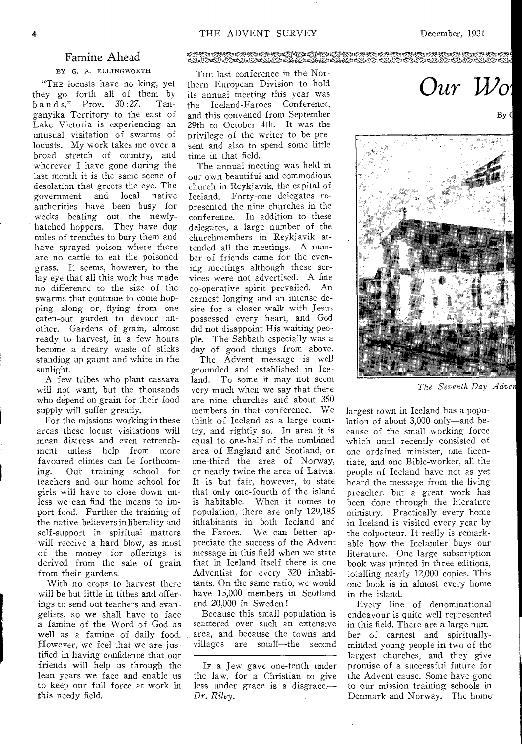## Famine Ahead

#### BY G. A. ELLINGWORTH

"THE locusts have no king, yet they go forth all of them by<br>bands." Prov.  $30:27$ . Tan- $\frac{1}{2}$  b a n d s." Prov. 30:27. ganyika Territory to the east of Lake Victoria is experiencing an unusual visitation of swarms of locusts. My work takes me over a broad stretch of country, and wherever I have gone during the last month it is the same scene of desolation that greets the eye. The government and local native authorities have been busy for weeks beating out the newlyhatched hoppers. They have dug miles of trenches to bury them and have sprayed poison where there are no cattle to eat the poisoned grass. It seems, however, to the lay eye that all this work has made no difference to the size of the swarms that continue to come hopping along or. flying from one eaten-out garden to devour another. Gardens of grain, almost ready to harvest, in a few hours become a dreary waste of sticks standing up gaunt and white in the sunlight.

A few tribes who plant cassava will not want, but the thousands who depend on grain for their food supply will suffer greatly.

For the missions working in these areas these locust visitations will mean distress and even retrenchment unless help from more favoured climes can be forthcoming. Our training school for teachers and our home school for girls will have to close down unless we can find the means to import food. Further the training of the native believers in liberality and self-support in spiritual matters will receive a hard blow, as most of the money for offerings is derived from the sale of grain from their gardens.

With no crops to harvest there will be but little in tithes and offerings to send out teachers and evangelists, so we shall have to face a famine of the Word of God as well as a famine of daily food. However, we feel that we are justified in having confidence that our friends will help us through the lean years we face and enable us to keep our full force at work in this needy field.

# ZRADI ZRADI<br>OGLA OGLA OGLA

THE last conference in the Northern European Division to hold its annual meeting this year was the Iceland-Faroes Conference, and this convened from September 29th to October 4th. It was the privilege of the writer to be present and also to spend some little time in that field.

The annual meeting was held in our own beautiful and commodious church in Reykjavik, the capital of Iceland. Forty-one delegates represented the nine churches in the conference. In addition to these delegates, a large number of the churchmembers in Reykjavik attended all the meetings. A number of friends came for the evening meetings although these services were not advertised. A fine co-operative spirit prevailed. An earnest longing and an intense desire for a closer walk with Jesus possessed every heart, and God did not disappoint His waiting people. The Sabbath especially was a day of good things from above.

The Advent message is well grounded and established in Iceland. To some it may not seem very much when we say that there are nine churches and about 350 members in that conference. We think of Iceland as a large country, and rightly so. In area it is equal to one-half of the combined area of England and Scotland, or one-third the area of Norway, or nearly twice the area of Latvia. It is but fair, however, to state that only one-fourth of the island is habitable. When it comes to population, there are only 129,185 inhabitants in both Iceland and the Faroes. We can better appreciate the success of the Advent message in this field when we state that in Iceland itself there is one Adventist for every 320 inhabitants. On the same ratio, we would have 15,000 members in Scotland and 20,000 in Sweden !

Because this small population is scattered over such an extensive area, and because the towns and villages are small—the second Our Wo

By (



*The Seventh-Day Adven* 

largest town in Iceland has a population of about 3,000 only—and because of the small working force which until recently consisted of one ordained minister, one licentiate, and one Bible-worker, all the people of Iceland have not as yet heard the message from the living preacher, but a great work has been done through the literature ministry. Practically every home in Iceland is visited every year by the colporteur. It really is remarkable how the Icelander buys our literature. One large subscription book was printed in three editions, totalling nearly 12,000 copies. This one book is in almost every home in the island.

Every line of denominational endeavour is quite well represented in this field. There are a large number of earnest and spirituallyminded young people in two of the largest churches, and they give promise of a successful future for the Advent cause. Some have gone to our mission training schools in Denmark and Norway. The home

IF a Jew gave one-tenth under the law, for a Christian to give less under grace is a disgrace.— *Dr. Riley.*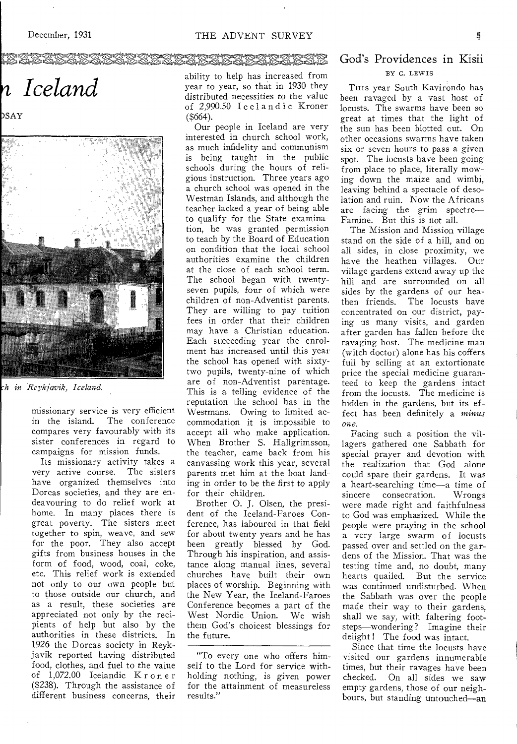### EENDEN EEN STANDER VERKONDER<br>ASSAMSTANDERMANDER

n Iceland

ÞSAY



*h in Reykjavik, Iceland.* 

missionary service is very efficient in the island. The conference compares very favourably with its sister conferences in regard to campaigns for mission funds.

Its missionary activity takes a very active course. The sisters have organized themselves into Dorcas societies, and they are endeavouring to do relief work at home. In many places there is great poverty. The sisters meet together to spin, weave, and sew for the poor. They also accept gifts from business houses in the form of food, wood, coal, coke, etc. This relief work is extended not only to our own people but to those outside our church, and as a result, these societies are appreciated not only by the recipients of help but also by the authorities in these districts. In 1926 the Dorcas society in Reykjavik reported having distributed food, clothes, and fuel to the value of 1,072.00 Icelandic Kroner (\$238). Through the assistance of different business concerns, their

ability to help has increased from year to year, so that in 1930 they distributed necessities to the value of 2,990.50 Icelandic Kroner (\$664).

Our people in Iceland are very interested in church school work, as much infidelity and communism is being taught in the public schools during the hours of religious instruction. Three years ago a church school was opened in the Westman Islands, and although the teacher lacked a year of being able to qualify for the State examination, he was granted permission to teach by the Board of Education on condition that the local school authorities examine the children at the close of each school term. The school began with twentyseven pupils, four of which were children of non-Adventist parents. They are willing to pay tuition fees in order that their children may have a Christian education. Each succeeding year the enrolment has increased until this year the school has opened with sixtytwo pupils, twenty-nine of which are of non-Adventist parentage. This is a telling evidence of the reputation the school has in the Westmans. Owing to limited accommodation it is impossible to accept all who make application. When Brother S. Hallgrimsson, the teacher, came back from his canvassing work this year, several parents met him at the boat landing in order to be the first to apply for their children.

Brother 0. J. Olsen, the president of the Iceland-Faroes Conference, has laboured in that field for about twenty years and he has been greatly blessed by God. Through his inspiration, and assistance along manual lines, several churches have built their own places of worship. Beginning with the New Year, the Iceland-Faroes Conference becomes a part of the West Nordic Union. We wish them God's choicest blessings for the future.

"To every one who offers himself to the Lord for service withholding nothing, is given power for the attainment of measureless results."

### God's Providences in Kisii BY G. LEWIS

THIS year South Kavirondo has been ravaged by a vast host of locusts. The swarms have been so great at times that the light of the sun has been blotted cut. On other occasions swarms have taken six or seven hours to pass a given spot. The locusts have been going from place to place, literally mowing down the maize and wimbi, leaving behind a spectacle of desolation and ruin. Now the Africans are facing the grim spectre— Famine. But this is not all.

The Mission and Mission village stand on the side of a hill, and on all sides, in close proximity, we<br>have the heathen villages. Our have the heathen villages. village gardens extend away up the hill and are surrounded on all sides by the gardens of our heathen friends. The locusts have concentrated on our district, paying us many visits, and garden after garden has fallen before the ravaging host. The medicine man (witch doctor) alone has his coffers full by selling at an extortionate price the special medicine guaranteed to keep the gardens intact from the locusts. The medicine is hidden in the gardens, but its effect has been definitely a *minus one.* 

Facing such a position the villagers gathered one Sabbath for special prayer and devotion with the realization that God alone could spare their gardens. It was a heart-searching time—a time of sincere consecration. were made right and faithfulness to God was emphasized. While the people were praying in the school a very large swarm of locusts passed over and settled on the gardens of the Mission. That was the testing time and, no doubt, many hearts quailed. But the service was continued undisturbed. When the Sabbath was over the people made their way to their gardens, shall we say, with faltering footsteps—wondering? Imagine their delight! The food was intact.

Since that time the locusts have visited our gardens innumerable times, but their ravages have been checked. On all sides we saw empty gardens, those of our neighbours, but standing untouched—an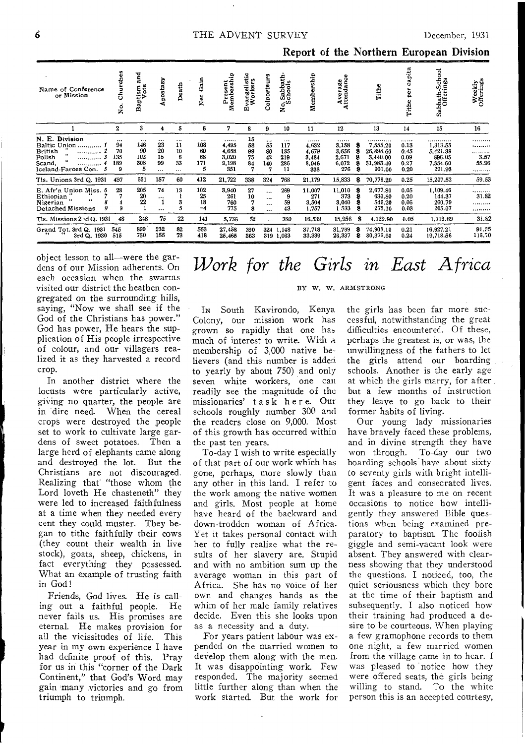| Name of Conference<br>or Mission                                                                                                   | hurches<br>ن<br>ż                       | and<br>tism<br>Vote<br>Bap       | Apostasy                             | Death                                       | Gain<br><b>Net</b>                      | Present<br>Membership                       | vangelistic<br>Workers<br>щ | olporteurs                                   | Sabbath-<br>schools<br>$\cdot$<br>۰<br>z   | rship<br>Membe                              | Average<br>Attendance                       |        | Tithe                                                    | pita                                      | Sabbath-School<br>Offerings                                        | Weekly<br>Offerings         |
|------------------------------------------------------------------------------------------------------------------------------------|-----------------------------------------|----------------------------------|--------------------------------------|---------------------------------------------|-----------------------------------------|---------------------------------------------|-----------------------------|----------------------------------------------|--------------------------------------------|---------------------------------------------|---------------------------------------------|--------|----------------------------------------------------------|-------------------------------------------|--------------------------------------------------------------------|-----------------------------|
|                                                                                                                                    | $\boldsymbol{2}$                        | 3                                | 4                                    | 5                                           | 6                                       | 7                                           | 8                           | 9                                            | 10                                         | 11                                          | 12                                          |        | 13                                                       | 14                                        | 15                                                                 | 16                          |
| N. E. Division<br>Baltic Union<br>British<br><br>Polish<br><br>$\mathbf{R}$<br>Scand,<br><b>***********</b><br>Iceland Faroes Con. | $\cdots$<br>94<br>70<br>135<br>189<br>9 | <br>146<br>90<br>102<br>308<br>5 | <br>23<br>20<br>15<br>99<br>$\cdots$ | $\cdots$<br>11<br>10<br>6<br>33<br>$\cdots$ | $\cdots$<br>108<br>60<br>68<br>171<br>5 | <br>4,495<br>4.658<br>3,020<br>9,198<br>351 | 15<br>58<br>99<br>75<br>84  | $\cdots$<br>55<br>80<br>42<br>140<br>7       | $\cdots$<br>117<br>135<br>219<br>286<br>11 | <br>4,632<br>4.679<br>3,484<br>8,046<br>338 | <br>3,158<br>3,656<br>2,671<br>6.072<br>276 | s      | 7,555.20<br>26,898,60<br>3,440.00<br>31,983.40<br>901.00 | .<br>0.13<br>0.45<br>0.09<br>0.27<br>0.20 | . <b>.</b><br>1,313.55<br>5,421.39<br>896.05<br>7,354.60<br>221.93 | <br>.<br>3.57<br>55.96<br>. |
| Tis. Unions 3rd Q. 1931                                                                                                            | 437                                     | 651                              | 157                                  | 60                                          | 412                                     | 21,722                                      | 338                         | 324                                          | 768                                        | 21,179                                      | 15,833                                      | s      | 70,778.20                                                | 0.25                                      | 15,207.52                                                          | 59.53                       |
| E. Afr'n Union Miss. 6<br>Ethiopian<br>44<br>Nigerian<br>Detached Missions                                                         | 28<br>9                                 | 205<br>20<br>22                  | 74<br>$\cdots$<br>$\cdots$           | 13<br>3<br>5                                | 102<br>25<br>18<br>$-4$                 | 3,940<br>261<br>760<br>775                  | 27<br>10<br>8               | $\cdots$<br>$\cdots$<br>$\cdots$<br>$\cdots$ | 269<br>9<br>59<br>43                       | 11.007<br>271<br>3,504<br>1.757             | 11.010<br>373<br>3.040<br>1533              | 8<br>8 | 2,677.80<br>630.80<br>546.20<br>275.10                   | 0.05<br>0.20<br>0.06<br>0.03              | 1,109.46<br>144.37<br>260.79<br>205.07                             | .<br>31.82<br>.<br>         |
| Tls. Missions 2 \d Q. 1931                                                                                                         | 48                                      | 248                              | 75                                   | 22                                          | 141                                     | 5,736                                       | 52                          | $\cdots$                                     | 380                                        | 16,539                                      | 15,956                                      | 8      | 4,129.90                                                 | 0.05                                      | 1,719.69                                                           | 31.82                       |
| Grand Tot. 3rd Q. 1931<br>3rd Q. 1930                                                                                              | 545<br>515                              | 899<br>750                       | 232<br>155                           | 82<br>73                                    | 553<br>418                              | 27,458<br>25.465                            | 390<br>363                  | 324                                          | 1.148<br>319 1,063                         | 37,718<br>33,339                            | 31,789<br>26,337                            | 8<br>8 | 74,908.10<br>80,375.60                                   | 0.21<br>0.24                              | 16,927.21<br>19,718.56                                             | 91.35<br>116.70             |

object lesson to all-were the gardens of our Mission adherents. On each occasion when the swarms visited our district the heathen congregated on the surrounding hills. saying, "Now we shall see if the God of the Christians has power." God has power, He hears the supplication of His people irrespective of colour, and our villagers realized it as they harvested a record crop.

In another district where the locusts were particularly active, giving no quarter, the people are in dire need. When the cereal crops were destroyed the people set to work to cultivate large gardens of sweet potatoes. Then a large herd of elephants came along and destroyed the lot. But the Christians are not discouraged. Realizing that "those whom the Lord loveth He chasteneth" they were led to increased faithfulness at a time when they needed every cent they could muster. They began to tithe faithfully their cows (they count their wealth in live stock), goats, sheep, chickens, in fact everything they possessed. What an example of trusting faith in God!

Friends, God lives. He is calling out a faithful people. He never fails us. His promises are eternal. He makes provision for all the vicissitudes of life. This year in my own experience I have had definite proof of this. Pray for us in this "corner of the Dark Continent," that God's Word may gain many victories and go from triumph to triumph.

# Work for the Girls in East Africa

#### BY W. W. ARMSTRONG

In South Kavirondo, Kenya Colony, our mission work has grown so rapidly that one has much of interest to write. With a membership of 3,000 native believers (and this number is added to yearly by about 750) and only seven white workers, one can readily see the magnitude of the missionaries' task here. Our schools roughly number 300 and the readers close on 9,000. Most of this growth has occurred within the past ten years.

To-day I wish to write especially of that part of our work which has gone, perhaps, more slowly than any other in this land. I refer to the work among the native women and girls. Most people at home have heard of the backward and down-trodden woman of Africa. Yet it takes personal contact with her to fully realize what the results of her slavery are. Stupid and with no ambition sum up the average woman in this part of Africa. She has no voice of her own and changes hands as the whim of her male family relatives decide. Even this she looks upon as a necessity and a duty.

For years patient labour was expended on the married women to develop them along with the men. It was disappointing work. Few responded. The majority seemed little further along than when the work started. But the work for the girls has been far more successful, notwithstanding the great difficulties encountered. Of these, perhaps the greatest is, or was, the unwillingness of the fathers to let the girls attend our boarding schools. Another is the early age at which the girls marry, for after. but a few months of instruction they leave to go back to their former habits of living.

Our young lady missionaries have bravely faced these problems, and in divine strength they have won through. To-day our two boarding schools have about sixty to seventy girls with bright intelligent faces and consecrated lives. It was a pleasure to me on recent occasions to notice how intelligently they answered Bible questions when being examined preparatory to baptism. The foolish giggle and semi-vacant look were absent. They answered with clearness showing that they understood the questions. I noticed, too, the quiet seriousness which they bore at the time of their baptism and subsequently. I also noticed how their training had produced a desire to be courteous. When playing a few gramophone records to them one night, a few married women from the village came in to hear. I was pleased to notice how they were offered seats, the girls being willing to stand. To the white person this is an accepted courtesy,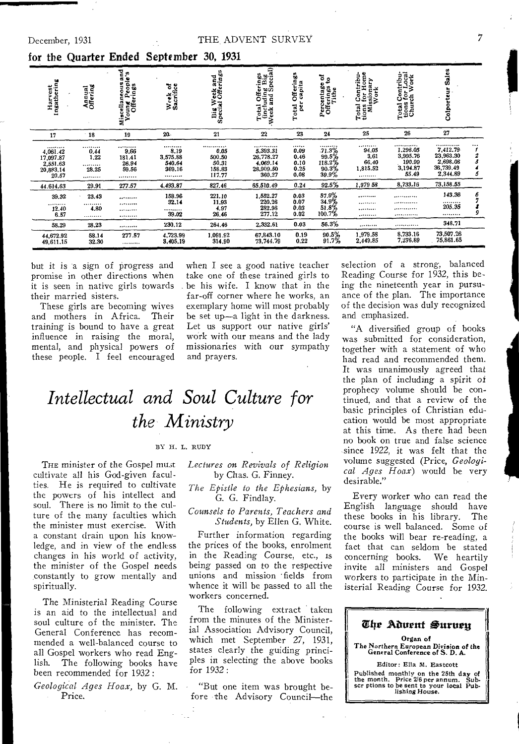| Harvest<br>Ingathering                                      | Annual<br>Offering                | 官<br>ņ<br>Aiscellaneous an<br>Young People'<br>Misc | Week of<br>Sacrifice                         | 'eek and<br>Offerings<br>Big We<br>Special                  | 1 Offerings<br>Juding Big<br>and Special)<br>Total<br>(inclu<br>Week a | Offerings<br>capita<br>ğ<br>Total        | ទីខ្<br>Percentage<br>Offerings<br>Tithe               | l Contribu-<br>s for Home<br>issionary<br>Work<br>Total<br>tions<br>Mis | l Contribu-<br>3 for Local<br>rch Work<br>Total Cor<br>tions for<br>Church | <b>Sales</b><br>Colporteur                                     |                                     |
|-------------------------------------------------------------|-----------------------------------|-----------------------------------------------------|----------------------------------------------|-------------------------------------------------------------|------------------------------------------------------------------------|------------------------------------------|--------------------------------------------------------|-------------------------------------------------------------------------|----------------------------------------------------------------------------|----------------------------------------------------------------|-------------------------------------|
| 17                                                          | $-18$                             | 19                                                  | 20.                                          | 21                                                          | 22                                                                     | 23                                       | 24                                                     | 25                                                                      | 26                                                                         | 27                                                             |                                     |
| <br>4,061.42<br>17,097.87<br>2,551.63<br>20,883.14<br>20.57 | <br>0,44<br>1,22<br><br>28.25<br> | <br>9,66<br>181.41<br>26.94<br>59.56<br>            | <br>8.19<br>3,575.88<br>540.64<br>369.16<br> | ************<br>0.05<br>500.50<br>50.31<br>158.83<br>117.77 | <br>5,393.31<br>26.778.27<br>4,069.14<br>28,909.50<br>360.27           | <br>0.09<br>0.46<br>0.10<br>0.25<br>0.08 | <br>.71.3%<br>$\frac{99.5}{118.2\%}$<br>90.3%<br>39.9% | <br>94.05<br>3.61<br>66.40<br>1,815.52<br>                              | . <b>.</b><br>1,296.05<br>3,995.76<br>190.99<br>3,194.87<br>55.49          | <br>7,412.79<br>23,963.30<br>2,698.08<br>36,739.49<br>2,344.89 | <br>1<br>$\boldsymbol{z}$<br>3<br>5 |
| 44.614.63                                                   | 29.91                             | 277.57                                              | 4,493.87                                     | 827.46                                                      | 65,510.49                                                              | 0.24                                     | 92.5%                                                  | 1,979 58                                                                | 8,733.16                                                                   | 73.158.55                                                      |                                     |
| 39.32<br><br>12.40<br>6.57                                  | 23.43<br><br>4,80<br>.            | <br><br>*********<br>                               | 158.96<br>32.14<br>,,,,,,,,,<br>39.02        | 221.10<br>11,93<br>4.97<br>26,46                            | 1,552.27<br>220.26<br>282.96<br>277.12                                 | 0.03<br>0.07<br>0.03<br>0.02             | 57.9%<br>$\frac{34.9}{51.8}$ %<br>100.7%               | <br><br><br>                                                            | <br>.<br><br>.                                                             | 143.36<br><br>205.35<br>                                       | $\frac{6}{7}$<br>9                  |
| 58.29                                                       | 28,23                             |                                                     | 230.12                                       | 261.46                                                      | 2.332.61                                                               | 0.03                                     | 56.3%                                                  |                                                                         | .                                                                          | 348.71                                                         |                                     |
| 44,672.92<br>49,611.15                                      | 58.14<br>32,30                    | 277.57<br>.                                         | 4,723.99<br>3,405.19                         | 1,091.92<br>314.90                                          | 67.843.10<br>73,744.79                                                 | 0.19<br>0.22                             | 90.5%<br>91.7%                                         | 1,979.58<br>2.449.85                                                    | 8,733.16<br>7.276.89                                                       | 73,507.26<br>75,861.65                                         |                                     |

## for the Quarter Ended September 30, 1931

but it is a sign of progress and promise in other directions when it is seen in native girls towards their married sisters.

These girls are becoming wives and mothers in Africa. Their training is bound to have a great influence in raising the moral, mental, and physical powers of these people. I feel encouraged when I see a good native teacher take one of these trained girls to be his wife. I know that in the far-off corner where he works, an exemplary home will most probably be set up-a light in the darkness. Let us support our native girls' work with our means and the lady missionaries with our sympathy and prayers.

selection of a strong, balanced Reading Course for 1932, this being the nineteenth year in pursuance of the plan. The importance of the decision was duly recognized and emphasized.

"A diversified group of books was submitted for consideration, together with a statement of who had read and recommended them. It was unanimously agreed that the plan of including a spirit of prophecy volume should be continued, and that a review of the basic principles of Christian education would be most appropriate at this time. As there had been no book on true and false science since 1922, it was felt that the volume suggested (Price, Geological Ages Hoax) would be very desirable."

Every worker who can read the English language should have<br>these books in his library. The course is well balanced. Some of the books will bear re-reading, a fact that can seldom be stated concerning books. We heartily invite all ministers and Gospel workers to participate in the Ministerial Reading Course for 1932.

| Che Aduent Suruen                                                                                                                         |
|-------------------------------------------------------------------------------------------------------------------------------------------|
| Organ of<br>The Northern European Division of the<br>General Conference of S. D. A.                                                       |
| Editor: Ella M. Eastcott                                                                                                                  |
| Published monthly on the 25th day of<br>the month. Price 2/6 per annum. Sub-<br>scr ptions to be sent to your local Pub-<br>liching House |

# Intellectual and Soul Culture for the Ministry

#### BY H. L. RUDY

THE minister of the Gospel must cultivate all his God-given faculties. He is required to cultivate the powers of his intellect and soul. There is no limit to the culture of the many faculties which the minister must exercise. With a constant drain upon his knowledge, and in view of the endless changes in his world of activity, the minister of the Gospel needs constantly to grow mentally and spiritually.

The Ministerial Reading Course is an aid to the intellectual and soul culture of the minister. The General Conference has recommended a well-balanced course to all Gospel workers who read English. The following books have been recommended for 1932:

Geological Ages Hoax, by G. M. Price.

Lectures on Revivals of Religion by Chas. G. Finney.

The Epistle to the Ephesians, by G. G. Findlay.

Counsels to Parents, Teachers and Students, by Ellen G. White.

Further information regarding the prices of the books, enrolment in the Reading Course, etc., is being passed on to the respective unions and mission fields from whence it will be passed to all the workers concerned.

The following extract taken from the minutes of the Ministerial Association Advisory Council,<br>which met September 27, 1931, states clearly the guiding principles in selecting the above books for 1932:

"But one item was brought before the Advisory Council-the  $\overline{7}$